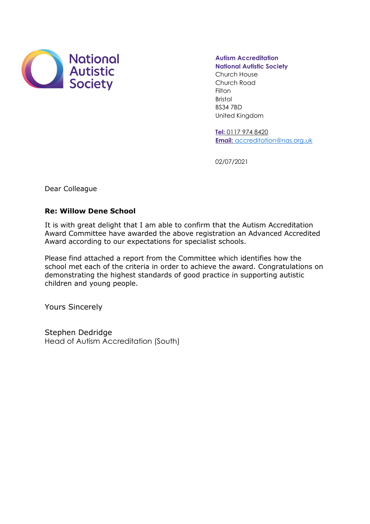

**Autism Accreditation National Autistic Society** Church House Church Road Filton Bristol BS34 7BD United Kingdom

**Tel:** [0117](tel:020%207833%202299) 974 8420 **Email:** [accreditation@nas.org.uk](mailto:accreditation@nas.org.uk)

02/07/2021

Dear Colleague

## **Re: Willow Dene School**

It is with great delight that I am able to confirm that the Autism Accreditation Award Committee have awarded the above registration an Advanced Accredited Award according to our expectations for specialist schools.

Please find attached a report from the Committee which identifies how the school met each of the criteria in order to achieve the award. Congratulations on demonstrating the highest standards of good practice in supporting autistic children and young people.

Yours Sincerely

Stephen Dedridge Head of Autism Accreditation (South)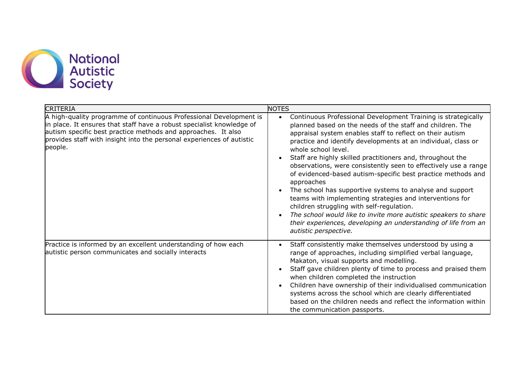

| <b>CRITERIA</b>                                                                                                                                                                                                                                                                                  | <b>NOTES</b>                                                                                                                                                                                                                                                                                                                                                                                                                                                                                                                                                                                                                                                                                                                                                                                                                                                |
|--------------------------------------------------------------------------------------------------------------------------------------------------------------------------------------------------------------------------------------------------------------------------------------------------|-------------------------------------------------------------------------------------------------------------------------------------------------------------------------------------------------------------------------------------------------------------------------------------------------------------------------------------------------------------------------------------------------------------------------------------------------------------------------------------------------------------------------------------------------------------------------------------------------------------------------------------------------------------------------------------------------------------------------------------------------------------------------------------------------------------------------------------------------------------|
| A high-quality programme of continuous Professional Development is<br>in place. It ensures that staff have a robust specialist knowledge of<br>autism specific best practice methods and approaches. It also<br>provides staff with insight into the personal experiences of autistic<br>people. | Continuous Professional Development Training is strategically<br>planned based on the needs of the staff and children. The<br>appraisal system enables staff to reflect on their autism<br>practice and identify developments at an individual, class or<br>whole school level.<br>Staff are highly skilled practitioners and, throughout the<br>observations, were consistently seen to effectively use a range<br>of evidenced-based autism-specific best practice methods and<br>approaches<br>The school has supportive systems to analyse and support<br>$\bullet$<br>teams with implementing strategies and interventions for<br>children struggling with self-regulation.<br>The school would like to invite more autistic speakers to share<br>$\bullet$<br>their experiences, developing an understanding of life from an<br>autistic perspective. |
| Practice is informed by an excellent understanding of how each<br>autistic person communicates and socially interacts                                                                                                                                                                            | Staff consistently make themselves understood by using a<br>range of approaches, including simplified verbal language,<br>Makaton, visual supports and modelling.<br>Staff gave children plenty of time to process and praised them<br>$\bullet$<br>when children completed the instruction<br>Children have ownership of their individualised communication<br>$\bullet$<br>systems across the school which are clearly differentiated<br>based on the children needs and reflect the information within<br>the communication passports.                                                                                                                                                                                                                                                                                                                   |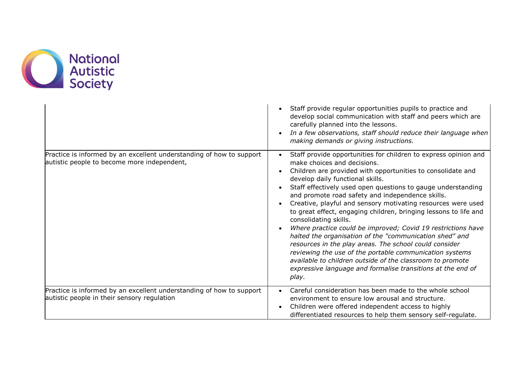

|                                                                                                                     | Staff provide regular opportunities pupils to practice and<br>develop social communication with staff and peers which are<br>carefully planned into the lessons.<br>In a few observations, staff should reduce their language when<br>making demands or giving instructions.                                                                                                                                                                                                                                                                                                                                                                                                                                                                                                                                                                                            |
|---------------------------------------------------------------------------------------------------------------------|-------------------------------------------------------------------------------------------------------------------------------------------------------------------------------------------------------------------------------------------------------------------------------------------------------------------------------------------------------------------------------------------------------------------------------------------------------------------------------------------------------------------------------------------------------------------------------------------------------------------------------------------------------------------------------------------------------------------------------------------------------------------------------------------------------------------------------------------------------------------------|
| Practice is informed by an excellent understanding of how to support<br>autistic people to become more independent, | Staff provide opportunities for children to express opinion and<br>make choices and decisions.<br>Children are provided with opportunities to consolidate and<br>develop daily functional skills.<br>Staff effectively used open questions to gauge understanding<br>and promote road safety and independence skills.<br>Creative, playful and sensory motivating resources were used<br>to great effect, engaging children, bringing lessons to life and<br>consolidating skills.<br>Where practice could be improved; Covid 19 restrictions have<br>halted the organisation of the "communication shed" and<br>resources in the play areas. The school could consider<br>reviewing the use of the portable communication systems<br>available to children outside of the classroom to promote<br>expressive language and formalise transitions at the end of<br>play. |
| Practice is informed by an excellent understanding of how to support<br>autistic people in their sensory regulation | Careful consideration has been made to the whole school<br>environment to ensure low arousal and structure.<br>Children were offered independent access to highly<br>differentiated resources to help them sensory self-regulate.                                                                                                                                                                                                                                                                                                                                                                                                                                                                                                                                                                                                                                       |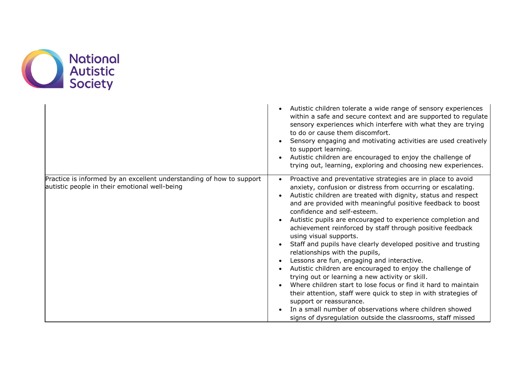

|                                                                                                                       | • Autistic children tolerate a wide range of sensory experiences<br>within a safe and secure context and are supported to regulate<br>sensory experiences which interfere with what they are trying<br>to do or cause them discomfort.<br>Sensory engaging and motivating activities are used creatively<br>to support learning.<br>Autistic children are encouraged to enjoy the challenge of<br>trying out, learning, exploring and choosing new experiences.                                                                                                                                                                                                                                                                                                                                                                                                                                                                                                                                                            |
|-----------------------------------------------------------------------------------------------------------------------|----------------------------------------------------------------------------------------------------------------------------------------------------------------------------------------------------------------------------------------------------------------------------------------------------------------------------------------------------------------------------------------------------------------------------------------------------------------------------------------------------------------------------------------------------------------------------------------------------------------------------------------------------------------------------------------------------------------------------------------------------------------------------------------------------------------------------------------------------------------------------------------------------------------------------------------------------------------------------------------------------------------------------|
| Practice is informed by an excellent understanding of how to support<br>autistic people in their emotional well-being | Proactive and preventative strategies are in place to avoid<br>anxiety, confusion or distress from occurring or escalating.<br>Autistic children are treated with dignity, status and respect<br>and are provided with meaningful positive feedback to boost<br>confidence and self-esteem.<br>Autistic pupils are encouraged to experience completion and<br>achievement reinforced by staff through positive feedback<br>using visual supports.<br>Staff and pupils have clearly developed positive and trusting<br>relationships with the pupils,<br>Lessons are fun, engaging and interactive.<br>$\bullet$<br>Autistic children are encouraged to enjoy the challenge of<br>trying out or learning a new activity or skill.<br>Where children start to lose focus or find it hard to maintain<br>their attention, staff were quick to step in with strategies of<br>support or reassurance.<br>In a small number of observations where children showed<br>signs of dysregulation outside the classrooms, staff missed |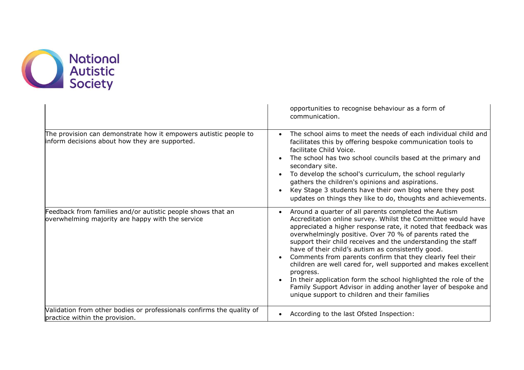

|                                                                                                                    | opportunities to recognise behaviour as a form of<br>communication.                                                                                                                                                                                                                                                                                                                                                                                                                                                                                                                                                                                                                                         |
|--------------------------------------------------------------------------------------------------------------------|-------------------------------------------------------------------------------------------------------------------------------------------------------------------------------------------------------------------------------------------------------------------------------------------------------------------------------------------------------------------------------------------------------------------------------------------------------------------------------------------------------------------------------------------------------------------------------------------------------------------------------------------------------------------------------------------------------------|
| The provision can demonstrate how it empowers autistic people to<br>inform decisions about how they are supported. | The school aims to meet the needs of each individual child and<br>facilitates this by offering bespoke communication tools to<br>facilitate Child Voice.<br>The school has two school councils based at the primary and<br>secondary site.<br>To develop the school's curriculum, the school regularly<br>gathers the children's opinions and aspirations.<br>Key Stage 3 students have their own blog where they post<br>updates on things they like to do, thoughts and achievements.                                                                                                                                                                                                                     |
| Feedback from families and/or autistic people shows that an<br>overwhelming majority are happy with the service    | Around a quarter of all parents completed the Autism<br>Accreditation online survey. Whilst the Committee would have<br>appreciated a higher response rate, it noted that feedback was<br>overwhelmingly positive. Over 70 % of parents rated the<br>support their child receives and the understanding the staff<br>have of their child's autism as consistently good.<br>Comments from parents confirm that they clearly feel their<br>children are well cared for, well supported and makes excellent<br>progress.<br>In their application form the school highlighted the role of the<br>Family Support Advisor in adding another layer of bespoke and<br>unique support to children and their families |
| Validation from other bodies or professionals confirms the quality of<br>practice within the provision.            | According to the last Ofsted Inspection:                                                                                                                                                                                                                                                                                                                                                                                                                                                                                                                                                                                                                                                                    |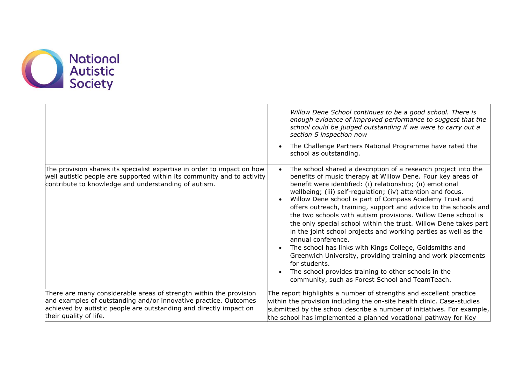

|                                                                                                                                                                                                                                        | Willow Dene School continues to be a good school. There is<br>enough evidence of improved performance to suggest that the<br>school could be judged outstanding if we were to carry out a<br>section 5 inspection now<br>The Challenge Partners National Programme have rated the<br>school as outstanding.                                                                                                                                                                                                                                                                                                                                                                                                                                                                                                                                                                   |
|----------------------------------------------------------------------------------------------------------------------------------------------------------------------------------------------------------------------------------------|-------------------------------------------------------------------------------------------------------------------------------------------------------------------------------------------------------------------------------------------------------------------------------------------------------------------------------------------------------------------------------------------------------------------------------------------------------------------------------------------------------------------------------------------------------------------------------------------------------------------------------------------------------------------------------------------------------------------------------------------------------------------------------------------------------------------------------------------------------------------------------|
| The provision shares its specialist expertise in order to impact on how<br>well autistic people are supported within its community and to activity<br>contribute to knowledge and understanding of autism.                             | The school shared a description of a research project into the<br>benefits of music therapy at Willow Dene. Four key areas of<br>benefit were identified: (i) relationship; (ii) emotional<br>wellbeing; (iii) self-regulation; (iv) attention and focus.<br>Willow Dene school is part of Compass Academy Trust and<br>offers outreach, training, support and advice to the schools and<br>the two schools with autism provisions. Willow Dene school is<br>the only special school within the trust. Willow Dene takes part<br>in the joint school projects and working parties as well as the<br>annual conference.<br>The school has links with Kings College, Goldsmiths and<br>Greenwich University, providing training and work placements<br>for students.<br>The school provides training to other schools in the<br>community, such as Forest School and TeamTeach. |
| There are many considerable areas of strength within the provision<br>and examples of outstanding and/or innovative practice. Outcomes<br>achieved by autistic people are outstanding and directly impact on<br>their quality of life. | The report highlights a number of strengths and excellent practice<br>within the provision including the on-site health clinic. Case-studies<br>submitted by the school describe a number of initiatives. For example,<br>the school has implemented a planned vocational pathway for Key                                                                                                                                                                                                                                                                                                                                                                                                                                                                                                                                                                                     |